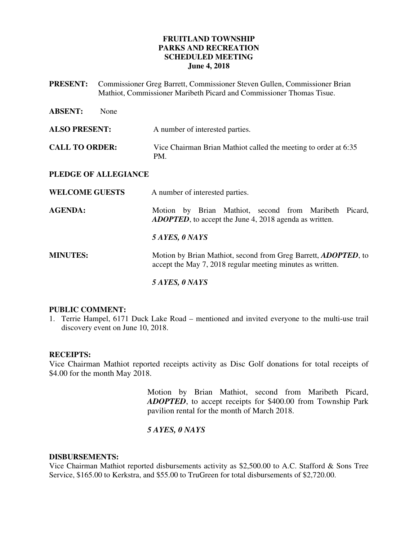# **FRUITLAND TOWNSHIP PARKS AND RECREATION SCHEDULED MEETING June 4, 2018**

**PRESENT:** Commissioner Greg Barrett, Commissioner Steven Gullen, Commissioner Brian Mathiot, Commissioner Maribeth Picard and Commissioner Thomas Tisue.

| <b>ABSENT:</b>        | None |                                                                                                                              |
|-----------------------|------|------------------------------------------------------------------------------------------------------------------------------|
| <b>ALSO PRESENT:</b>  |      | A number of interested parties.                                                                                              |
| <b>CALL TO ORDER:</b> |      | Vice Chairman Brian Mathiot called the meeting to order at 6:35<br>PM.                                                       |
| PLEDGE OF ALLEGIANCE  |      |                                                                                                                              |
| <b>WELCOME GUESTS</b> |      | A number of interested parties.                                                                                              |
| <b>AGENDA:</b>        |      | Motion by Brian Mathiot, second from Maribeth Picard,<br><b>ADOPTED</b> , to accept the June 4, 2018 agenda as written.      |
|                       |      | 5 AYES, 0 NAYS                                                                                                               |
| <b>MINUTES:</b>       |      | Motion by Brian Mathiot, second from Greg Barrett, ADOPTED, to<br>accept the May 7, 2018 regular meeting minutes as written. |
|                       |      | 5 AYES, 0 NAYS                                                                                                               |

## **PUBLIC COMMENT:**

1. Terrie Hampel, 6171 Duck Lake Road – mentioned and invited everyone to the multi-use trail discovery event on June 10, 2018.

### **RECEIPTS:**

Vice Chairman Mathiot reported receipts activity as Disc Golf donations for total receipts of \$4.00 for the month May 2018.

> Motion by Brian Mathiot, second from Maribeth Picard, *ADOPTED*, to accept receipts for \$400.00 from Township Park pavilion rental for the month of March 2018.

# *5 AYES, 0 NAYS*

### **DISBURSEMENTS:**

Vice Chairman Mathiot reported disbursements activity as \$2,500.00 to A.C. Stafford & Sons Tree Service, \$165.00 to Kerkstra, and \$55.00 to TruGreen for total disbursements of \$2,720.00.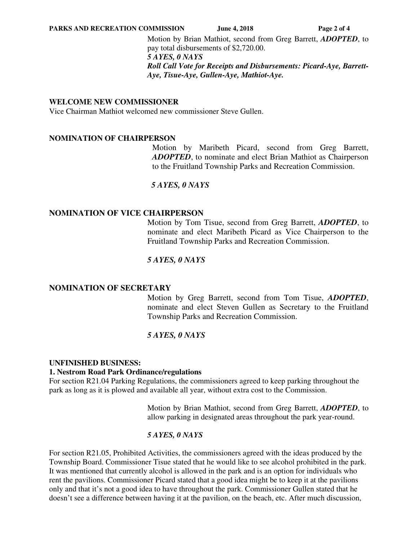Motion by Brian Mathiot, second from Greg Barrett, *ADOPTED*, to pay total disbursements of \$2,720.00. *5 AYES, 0 NAYS Roll Call Vote for Receipts and Disbursements: Picard-Aye, Barrett-Aye, Tisue-Aye, Gullen-Aye, Mathiot-Aye.* 

## **WELCOME NEW COMMISSIONER**

Vice Chairman Mathiot welcomed new commissioner Steve Gullen.

### **NOMINATION OF CHAIRPERSON**

 Motion by Maribeth Picard, second from Greg Barrett, *ADOPTED*, to nominate and elect Brian Mathiot as Chairperson to the Fruitland Township Parks and Recreation Commission.

## *5 AYES, 0 NAYS*

## **NOMINATION OF VICE CHAIRPERSON**

Motion by Tom Tisue, second from Greg Barrett, *ADOPTED*, to nominate and elect Maribeth Picard as Vice Chairperson to the Fruitland Township Parks and Recreation Commission.

## *5 AYES, 0 NAYS*

### **NOMINATION OF SECRETARY**

Motion by Greg Barrett, second from Tom Tisue, *ADOPTED*, nominate and elect Steven Gullen as Secretary to the Fruitland Township Parks and Recreation Commission.

# *5 AYES, 0 NAYS*

### **UNFINISHED BUSINESS:**

### **1. Nestrom Road Park Ordinance/regulations**

For section R21.04 Parking Regulations, the commissioners agreed to keep parking throughout the park as long as it is plowed and available all year, without extra cost to the Commission.

> Motion by Brian Mathiot, second from Greg Barrett, *ADOPTED*, to allow parking in designated areas throughout the park year-round.

# *5 AYES, 0 NAYS*

For section R21.05, Prohibited Activities, the commissioners agreed with the ideas produced by the Township Board. Commissioner Tisue stated that he would like to see alcohol prohibited in the park. It was mentioned that currently alcohol is allowed in the park and is an option for individuals who rent the pavilions. Commissioner Picard stated that a good idea might be to keep it at the pavilions only and that it's not a good idea to have throughout the park. Commissioner Gullen stated that he doesn't see a difference between having it at the pavilion, on the beach, etc. After much discussion,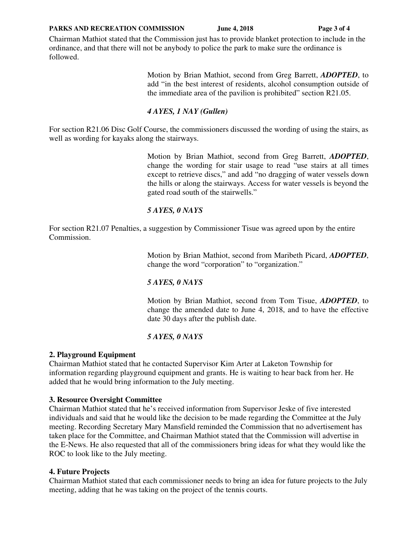#### **PARKS AND RECREATION COMMISSION** June 4, 2018 Page 3 of 4

Chairman Mathiot stated that the Commission just has to provide blanket protection to include in the ordinance, and that there will not be anybody to police the park to make sure the ordinance is followed.

> Motion by Brian Mathiot, second from Greg Barrett, *ADOPTED*, to add "in the best interest of residents, alcohol consumption outside of the immediate area of the pavilion is prohibited" section R21.05.

# *4 AYES, 1 NAY (Gullen)*

For section R21.06 Disc Golf Course, the commissioners discussed the wording of using the stairs, as well as wording for kayaks along the stairways.

> Motion by Brian Mathiot, second from Greg Barrett, *ADOPTED*, change the wording for stair usage to read "use stairs at all times except to retrieve discs," and add "no dragging of water vessels down the hills or along the stairways. Access for water vessels is beyond the gated road south of the stairwells."

# *5 AYES, 0 NAYS*

For section R21.07 Penalties, a suggestion by Commissioner Tisue was agreed upon by the entire Commission.

> Motion by Brian Mathiot, second from Maribeth Picard, *ADOPTED*, change the word "corporation" to "organization."

# *5 AYES, 0 NAYS*

Motion by Brian Mathiot, second from Tom Tisue, *ADOPTED*, to change the amended date to June 4, 2018, and to have the effective date 30 days after the publish date.

# *5 AYES, 0 NAYS*

# **2. Playground Equipment**

Chairman Mathiot stated that he contacted Supervisor Kim Arter at Laketon Township for information regarding playground equipment and grants. He is waiting to hear back from her. He added that he would bring information to the July meeting.

# **3. Resource Oversight Committee**

Chairman Mathiot stated that he's received information from Supervisor Jeske of five interested individuals and said that he would like the decision to be made regarding the Committee at the July meeting. Recording Secretary Mary Mansfield reminded the Commission that no advertisement has taken place for the Committee, and Chairman Mathiot stated that the Commission will advertise in the E-News. He also requested that all of the commissioners bring ideas for what they would like the ROC to look like to the July meeting.

# **4. Future Projects**

Chairman Mathiot stated that each commissioner needs to bring an idea for future projects to the July meeting, adding that he was taking on the project of the tennis courts.